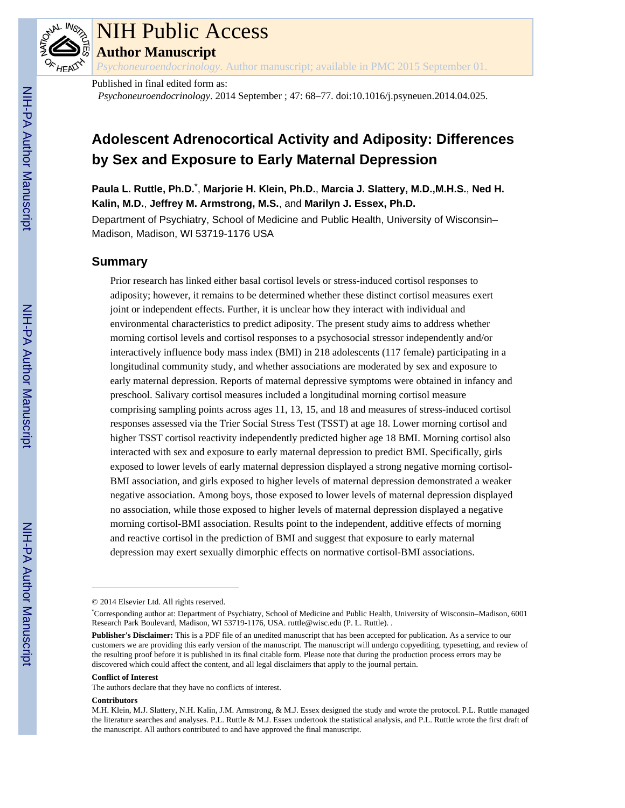

# NIH Public Access

**Author Manuscript**

*Psychoneuroendocrinology*. Author manuscript; available in PMC 2015 September 01.

Published in final edited form as: *Psychoneuroendocrinology*. 2014 September ; 47: 68–77. doi:10.1016/j.psyneuen.2014.04.025.

# **Adolescent Adrenocortical Activity and Adiposity: Differences by Sex and Exposure to Early Maternal Depression**

**Paula L. Ruttle, Ph.D.**\* , **Marjorie H. Klein, Ph.D.**, **Marcia J. Slattery, M.D.,M.H.S.**, **Ned H. Kalin, M.D.**, **Jeffrey M. Armstrong, M.S.**, and **Marilyn J. Essex, Ph.D.**

Department of Psychiatry, School of Medicine and Public Health, University of Wisconsin– Madison, Madison, WI 53719-1176 USA

# **Summary**

Prior research has linked either basal cortisol levels or stress-induced cortisol responses to adiposity; however, it remains to be determined whether these distinct cortisol measures exert joint or independent effects. Further, it is unclear how they interact with individual and environmental characteristics to predict adiposity. The present study aims to address whether morning cortisol levels and cortisol responses to a psychosocial stressor independently and/or interactively influence body mass index (BMI) in 218 adolescents (117 female) participating in a longitudinal community study, and whether associations are moderated by sex and exposure to early maternal depression. Reports of maternal depressive symptoms were obtained in infancy and preschool. Salivary cortisol measures included a longitudinal morning cortisol measure comprising sampling points across ages 11, 13, 15, and 18 and measures of stress-induced cortisol responses assessed via the Trier Social Stress Test (TSST) at age 18. Lower morning cortisol and higher TSST cortisol reactivity independently predicted higher age 18 BMI. Morning cortisol also interacted with sex and exposure to early maternal depression to predict BMI. Specifically, girls exposed to lower levels of early maternal depression displayed a strong negative morning cortisol-BMI association, and girls exposed to higher levels of maternal depression demonstrated a weaker negative association. Among boys, those exposed to lower levels of maternal depression displayed no association, while those exposed to higher levels of maternal depression displayed a negative morning cortisol-BMI association. Results point to the independent, additive effects of morning and reactive cortisol in the prediction of BMI and suggest that exposure to early maternal depression may exert sexually dimorphic effects on normative cortisol-BMI associations.

#### **Conflict of Interest**

The authors declare that they have no conflicts of interest.

#### **Contributors**

<sup>© 2014</sup> Elsevier Ltd. All rights reserved.

<sup>\*</sup>Corresponding author at: Department of Psychiatry, School of Medicine and Public Health, University of Wisconsin–Madison, 6001 Research Park Boulevard, Madison, WI 53719-1176, USA. ruttle@wisc.edu (P. L. Ruttle). .

**Publisher's Disclaimer:** This is a PDF file of an unedited manuscript that has been accepted for publication. As a service to our customers we are providing this early version of the manuscript. The manuscript will undergo copyediting, typesetting, and review of the resulting proof before it is published in its final citable form. Please note that during the production process errors may be discovered which could affect the content, and all legal disclaimers that apply to the journal pertain.

M.H. Klein, M.J. Slattery, N.H. Kalin, J.M. Armstrong, & M.J. Essex designed the study and wrote the protocol. P.L. Ruttle managed the literature searches and analyses. P.L. Ruttle & M.J. Essex undertook the statistical analysis, and P.L. Ruttle wrote the first draft of the manuscript. All authors contributed to and have approved the final manuscript.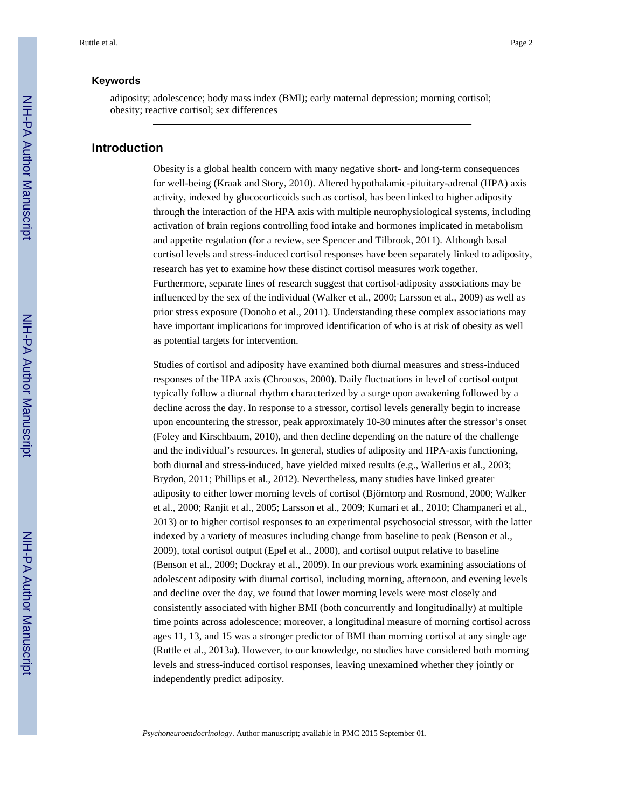# **Keywords**

adiposity; adolescence; body mass index (BMI); early maternal depression; morning cortisol; obesity; reactive cortisol; sex differences

# **Introduction**

Obesity is a global health concern with many negative short- and long-term consequences for well-being (Kraak and Story, 2010). Altered hypothalamic-pituitary-adrenal (HPA) axis activity, indexed by glucocorticoids such as cortisol, has been linked to higher adiposity through the interaction of the HPA axis with multiple neurophysiological systems, including activation of brain regions controlling food intake and hormones implicated in metabolism and appetite regulation (for a review, see Spencer and Tilbrook, 2011). Although basal cortisol levels and stress-induced cortisol responses have been separately linked to adiposity, research has yet to examine how these distinct cortisol measures work together. Furthermore, separate lines of research suggest that cortisol-adiposity associations may be influenced by the sex of the individual (Walker et al., 2000; Larsson et al., 2009) as well as prior stress exposure (Donoho et al., 2011). Understanding these complex associations may have important implications for improved identification of who is at risk of obesity as well as potential targets for intervention.

Studies of cortisol and adiposity have examined both diurnal measures and stress-induced responses of the HPA axis (Chrousos, 2000). Daily fluctuations in level of cortisol output typically follow a diurnal rhythm characterized by a surge upon awakening followed by a decline across the day. In response to a stressor, cortisol levels generally begin to increase upon encountering the stressor, peak approximately 10-30 minutes after the stressor's onset (Foley and Kirschbaum, 2010), and then decline depending on the nature of the challenge and the individual's resources. In general, studies of adiposity and HPA-axis functioning, both diurnal and stress-induced, have yielded mixed results (e.g., Wallerius et al., 2003; Brydon, 2011; Phillips et al., 2012). Nevertheless, many studies have linked greater adiposity to either lower morning levels of cortisol (Björntorp and Rosmond, 2000; Walker et al., 2000; Ranjit et al., 2005; Larsson et al., 2009; Kumari et al., 2010; Champaneri et al., 2013) or to higher cortisol responses to an experimental psychosocial stressor, with the latter indexed by a variety of measures including change from baseline to peak (Benson et al., 2009), total cortisol output (Epel et al., 2000), and cortisol output relative to baseline (Benson et al., 2009; Dockray et al., 2009). In our previous work examining associations of adolescent adiposity with diurnal cortisol, including morning, afternoon, and evening levels and decline over the day, we found that lower morning levels were most closely and consistently associated with higher BMI (both concurrently and longitudinally) at multiple time points across adolescence; moreover, a longitudinal measure of morning cortisol across ages 11, 13, and 15 was a stronger predictor of BMI than morning cortisol at any single age (Ruttle et al., 2013a). However, to our knowledge, no studies have considered both morning levels and stress-induced cortisol responses, leaving unexamined whether they jointly or independently predict adiposity.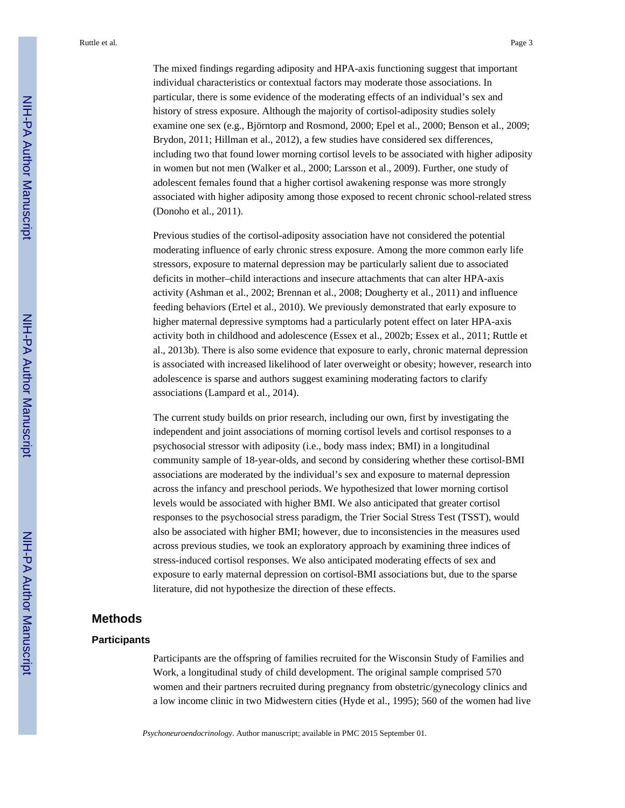The mixed findings regarding adiposity and HPA-axis functioning suggest that important individual characteristics or contextual factors may moderate those associations. In particular, there is some evidence of the moderating effects of an individual's sex and history of stress exposure. Although the majority of cortisol-adiposity studies solely examine one sex (e.g., Björntorp and Rosmond, 2000; Epel et al., 2000; Benson et al., 2009; Brydon, 2011; Hillman et al., 2012), a few studies have considered sex differences, including two that found lower morning cortisol levels to be associated with higher adiposity in women but not men (Walker et al., 2000; Larsson et al., 2009). Further, one study of adolescent females found that a higher cortisol awakening response was more strongly associated with higher adiposity among those exposed to recent chronic school-related stress (Donoho et al., 2011).

Previous studies of the cortisol-adiposity association have not considered the potential moderating influence of early chronic stress exposure. Among the more common early life stressors, exposure to maternal depression may be particularly salient due to associated deficits in mother–child interactions and insecure attachments that can alter HPA-axis activity (Ashman et al., 2002; Brennan et al., 2008; Dougherty et al., 2011) and influence feeding behaviors (Ertel et al., 2010). We previously demonstrated that early exposure to higher maternal depressive symptoms had a particularly potent effect on later HPA-axis activity both in childhood and adolescence (Essex et al., 2002b; Essex et al., 2011; Ruttle et al., 2013b). There is also some evidence that exposure to early, chronic maternal depression is associated with increased likelihood of later overweight or obesity; however, research into adolescence is sparse and authors suggest examining moderating factors to clarify associations (Lampard et al., 2014).

The current study builds on prior research, including our own, first by investigating the independent and joint associations of morning cortisol levels and cortisol responses to a psychosocial stressor with adiposity (i.e., body mass index; BMI) in a longitudinal community sample of 18-year-olds, and second by considering whether these cortisol-BMI associations are moderated by the individual's sex and exposure to maternal depression across the infancy and preschool periods. We hypothesized that lower morning cortisol levels would be associated with higher BMI. We also anticipated that greater cortisol responses to the psychosocial stress paradigm, the Trier Social Stress Test (TSST), would also be associated with higher BMI; however, due to inconsistencies in the measures used across previous studies, we took an exploratory approach by examining three indices of stress-induced cortisol responses. We also anticipated moderating effects of sex and exposure to early maternal depression on cortisol-BMI associations but, due to the sparse literature, did not hypothesize the direction of these effects.

# **Methods**

### **Participants**

Participants are the offspring of families recruited for the Wisconsin Study of Families and Work, a longitudinal study of child development. The original sample comprised 570 women and their partners recruited during pregnancy from obstetric/gynecology clinics and a low income clinic in two Midwestern cities (Hyde et al., 1995); 560 of the women had live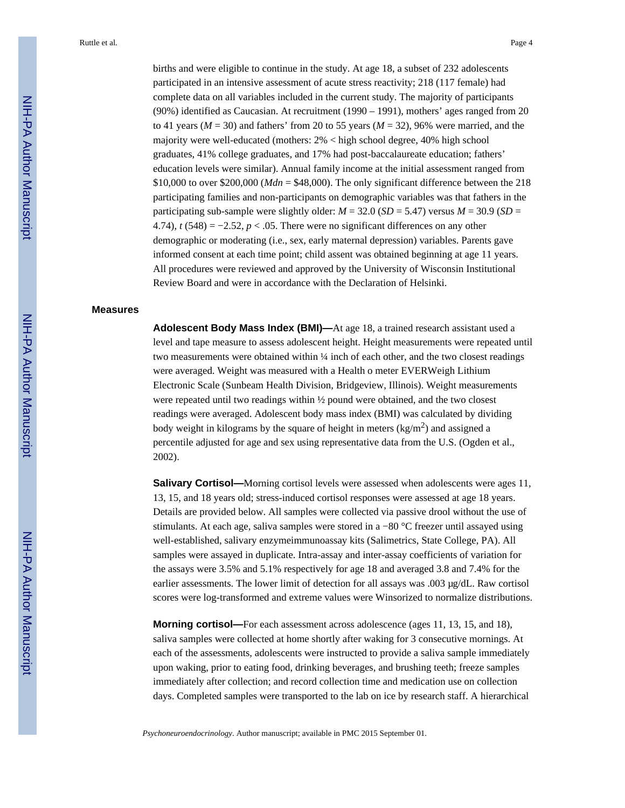majority were well-educated (mothers: 2% < high school degree, 40% high school graduates, 41% college graduates, and 17% had post-baccalaureate education; fathers' education levels were similar). Annual family income at the initial assessment ranged from \$10,000 to over \$200,000 (*Mdn* = \$48,000). The only significant difference between the 218 participating families and non-participants on demographic variables was that fathers in the participating sub-sample were slightly older:  $M = 32.0$  ( $SD = 5.47$ ) versus  $M = 30.9$  ( $SD =$ 4.74),  $t(548) = -2.52$ ,  $p < .05$ . There were no significant differences on any other demographic or moderating (i.e., sex, early maternal depression) variables. Parents gave informed consent at each time point; child assent was obtained beginning at age 11 years. All procedures were reviewed and approved by the University of Wisconsin Institutional Review Board and were in accordance with the Declaration of Helsinki.

#### **Measures**

**Adolescent Body Mass Index (BMI)—**At age 18, a trained research assistant used a level and tape measure to assess adolescent height. Height measurements were repeated until two measurements were obtained within  $\frac{1}{4}$  inch of each other, and the two closest readings were averaged. Weight was measured with a Health o meter EVERWeigh Lithium Electronic Scale (Sunbeam Health Division, Bridgeview, Illinois). Weight measurements were repeated until two readings within ½ pound were obtained, and the two closest readings were averaged. Adolescent body mass index (BMI) was calculated by dividing body weight in kilograms by the square of height in meters  $(kg/m<sup>2</sup>)$  and assigned a percentile adjusted for age and sex using representative data from the U.S. (Ogden et al., 2002).

**Salivary Cortisol—**Morning cortisol levels were assessed when adolescents were ages 11, 13, 15, and 18 years old; stress-induced cortisol responses were assessed at age 18 years. Details are provided below. All samples were collected via passive drool without the use of stimulants. At each age, saliva samples were stored in a −80 °C freezer until assayed using well-established, salivary enzymeimmunoassay kits (Salimetrics, State College, PA). All samples were assayed in duplicate. Intra-assay and inter-assay coefficients of variation for the assays were 3.5% and 5.1% respectively for age 18 and averaged 3.8 and 7.4% for the earlier assessments. The lower limit of detection for all assays was .003 μg/dL. Raw cortisol scores were log-transformed and extreme values were Winsorized to normalize distributions.

**Morning cortisol—**For each assessment across adolescence (ages 11, 13, 15, and 18), saliva samples were collected at home shortly after waking for 3 consecutive mornings. At each of the assessments, adolescents were instructed to provide a saliva sample immediately upon waking, prior to eating food, drinking beverages, and brushing teeth; freeze samples immediately after collection; and record collection time and medication use on collection days. Completed samples were transported to the lab on ice by research staff. A hierarchical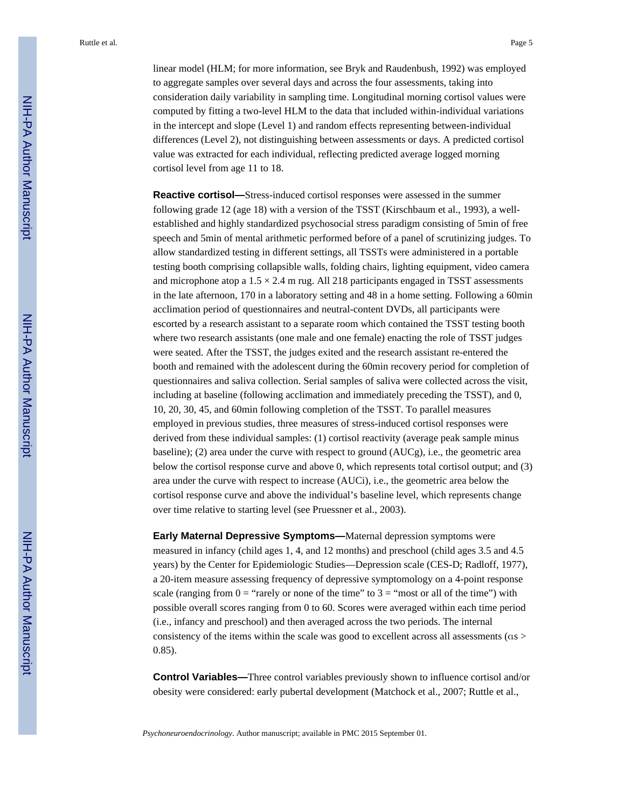linear model (HLM; for more information, see Bryk and Raudenbush, 1992) was employed to aggregate samples over several days and across the four assessments, taking into consideration daily variability in sampling time. Longitudinal morning cortisol values were computed by fitting a two-level HLM to the data that included within-individual variations in the intercept and slope (Level 1) and random effects representing between-individual differences (Level 2), not distinguishing between assessments or days. A predicted cortisol value was extracted for each individual, reflecting predicted average logged morning cortisol level from age 11 to 18.

**Reactive cortisol—**Stress-induced cortisol responses were assessed in the summer following grade 12 (age 18) with a version of the TSST (Kirschbaum et al., 1993), a wellestablished and highly standardized psychosocial stress paradigm consisting of 5min of free speech and 5min of mental arithmetic performed before of a panel of scrutinizing judges. To allow standardized testing in different settings, all TSSTs were administered in a portable testing booth comprising collapsible walls, folding chairs, lighting equipment, video camera and microphone atop a  $1.5 \times 2.4$  m rug. All 218 participants engaged in TSST assessments in the late afternoon, 170 in a laboratory setting and 48 in a home setting. Following a 60min acclimation period of questionnaires and neutral-content DVDs, all participants were escorted by a research assistant to a separate room which contained the TSST testing booth where two research assistants (one male and one female) enacting the role of TSST judges were seated. After the TSST, the judges exited and the research assistant re-entered the booth and remained with the adolescent during the 60min recovery period for completion of questionnaires and saliva collection. Serial samples of saliva were collected across the visit, including at baseline (following acclimation and immediately preceding the TSST), and 0, 10, 20, 30, 45, and 60min following completion of the TSST. To parallel measures employed in previous studies, three measures of stress-induced cortisol responses were derived from these individual samples: (1) cortisol reactivity (average peak sample minus baseline); (2) area under the curve with respect to ground  $(AUCg)$ , i.e., the geometric area below the cortisol response curve and above 0, which represents total cortisol output; and (3) area under the curve with respect to increase (AUCi), i.e., the geometric area below the cortisol response curve and above the individual's baseline level, which represents change over time relative to starting level (see Pruessner et al., 2003).

**Early Maternal Depressive Symptoms—**Maternal depression symptoms were measured in infancy (child ages 1, 4, and 12 months) and preschool (child ages 3.5 and 4.5 years) by the Center for Epidemiologic Studies—Depression scale (CES-D; Radloff, 1977), a 20-item measure assessing frequency of depressive symptomology on a 4-point response scale (ranging from  $0 =$  "rarely or none of the time" to  $3 =$  "most or all of the time") with possible overall scores ranging from 0 to 60. Scores were averaged within each time period (i.e., infancy and preschool) and then averaged across the two periods. The internal consistency of the items within the scale was good to excellent across all assessments ( $\alpha$ s > 0.85).

**Control Variables—**Three control variables previously shown to influence cortisol and/or obesity were considered: early pubertal development (Matchock et al., 2007; Ruttle et al.,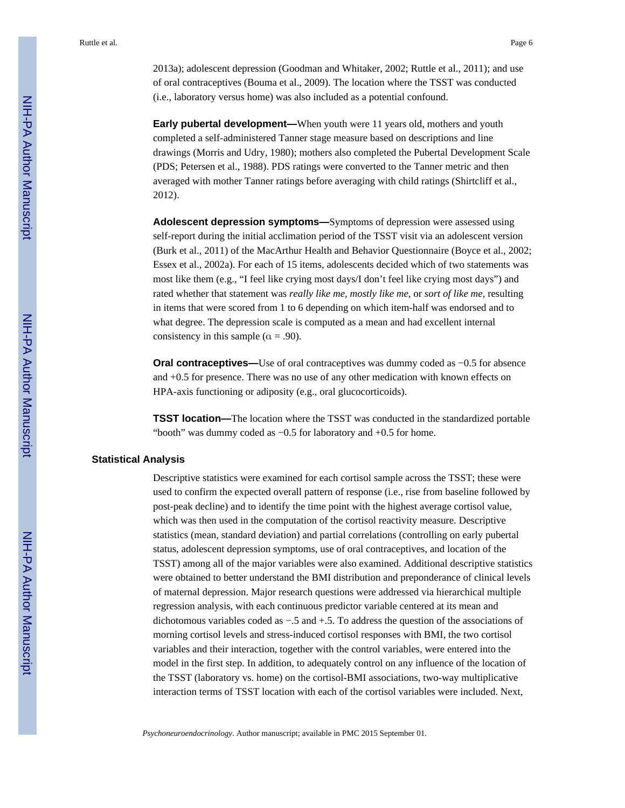2013a); adolescent depression (Goodman and Whitaker, 2002; Ruttle et al., 2011); and use of oral contraceptives (Bouma et al., 2009). The location where the TSST was conducted (i.e., laboratory versus home) was also included as a potential confound.

**Early pubertal development—**When youth were 11 years old, mothers and youth completed a self-administered Tanner stage measure based on descriptions and line drawings (Morris and Udry, 1980); mothers also completed the Pubertal Development Scale (PDS; Petersen et al., 1988). PDS ratings were converted to the Tanner metric and then averaged with mother Tanner ratings before averaging with child ratings (Shirtcliff et al., 2012).

**Adolescent depression symptoms—**Symptoms of depression were assessed using self-report during the initial acclimation period of the TSST visit via an adolescent version (Burk et al., 2011) of the MacArthur Health and Behavior Questionnaire (Boyce et al., 2002; Essex et al., 2002a). For each of 15 items, adolescents decided which of two statements was most like them (e.g., "I feel like crying most days/I don't feel like crying most days") and rated whether that statement was *really like me, mostly like me*, or *sort of like me*, resulting in items that were scored from 1 to 6 depending on which item-half was endorsed and to what degree. The depression scale is computed as a mean and had excellent internal consistency in this sample ( $\alpha$  = .90).

**Oral contraceptives—**Use of oral contraceptives was dummy coded as −0.5 for absence and +0.5 for presence. There was no use of any other medication with known effects on HPA-axis functioning or adiposity (e.g., oral glucocorticoids).

**TSST location—**The location where the TSST was conducted in the standardized portable "booth" was dummy coded as −0.5 for laboratory and +0.5 for home.

## **Statistical Analysis**

Descriptive statistics were examined for each cortisol sample across the TSST; these were used to confirm the expected overall pattern of response (i.e., rise from baseline followed by post-peak decline) and to identify the time point with the highest average cortisol value, which was then used in the computation of the cortisol reactivity measure. Descriptive statistics (mean, standard deviation) and partial correlations (controlling on early pubertal status, adolescent depression symptoms, use of oral contraceptives, and location of the TSST) among all of the major variables were also examined. Additional descriptive statistics were obtained to better understand the BMI distribution and preponderance of clinical levels of maternal depression. Major research questions were addressed via hierarchical multiple regression analysis, with each continuous predictor variable centered at its mean and dichotomous variables coded as −.5 and +.5. To address the question of the associations of morning cortisol levels and stress-induced cortisol responses with BMI, the two cortisol variables and their interaction, together with the control variables, were entered into the model in the first step. In addition, to adequately control on any influence of the location of the TSST (laboratory vs. home) on the cortisol-BMI associations, two-way multiplicative interaction terms of TSST location with each of the cortisol variables were included. Next,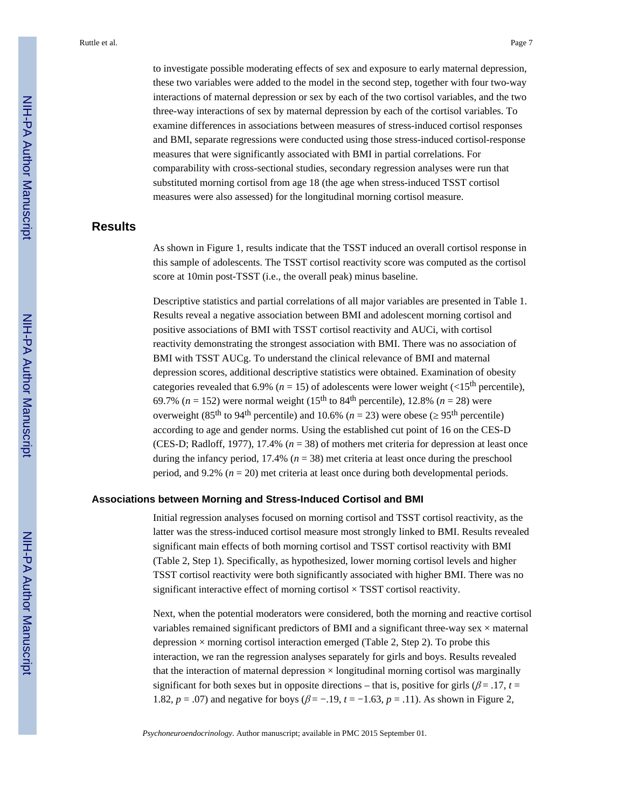to investigate possible moderating effects of sex and exposure to early maternal depression, these two variables were added to the model in the second step, together with four two-way interactions of maternal depression or sex by each of the two cortisol variables, and the two

three-way interactions of sex by maternal depression by each of the cortisol variables. To examine differences in associations between measures of stress-induced cortisol responses and BMI, separate regressions were conducted using those stress-induced cortisol-response measures that were significantly associated with BMI in partial correlations. For comparability with cross-sectional studies, secondary regression analyses were run that substituted morning cortisol from age 18 (the age when stress-induced TSST cortisol measures were also assessed) for the longitudinal morning cortisol measure.

# **Results**

As shown in Figure 1, results indicate that the TSST induced an overall cortisol response in this sample of adolescents. The TSST cortisol reactivity score was computed as the cortisol score at 10min post-TSST (i.e., the overall peak) minus baseline.

Descriptive statistics and partial correlations of all major variables are presented in Table 1. Results reveal a negative association between BMI and adolescent morning cortisol and positive associations of BMI with TSST cortisol reactivity and AUCi, with cortisol reactivity demonstrating the strongest association with BMI. There was no association of BMI with TSST AUCg. To understand the clinical relevance of BMI and maternal depression scores, additional descriptive statistics were obtained. Examination of obesity categories revealed that 6.9% ( $n = 15$ ) of adolescents were lower weight ( $\langle 15^{th}$  percentile), 69.7% ( $n = 152$ ) were normal weight (15<sup>th</sup> to 84<sup>th</sup> percentile), 12.8% ( $n = 28$ ) were overweight (85<sup>th</sup> to 94<sup>th</sup> percentile) and 10.6% ( $n = 23$ ) were obese ( $\frac{95}{}$ <sup>th</sup> percentile) according to age and gender norms. Using the established cut point of 16 on the CES-D (CES-D; Radloff, 1977), 17.4% (*n* = 38) of mothers met criteria for depression at least once during the infancy period, 17.4% (*n* = 38) met criteria at least once during the preschool period, and  $9.2\%$  ( $n = 20$ ) met criteria at least once during both developmental periods.

# **Associations between Morning and Stress-Induced Cortisol and BMI**

Initial regression analyses focused on morning cortisol and TSST cortisol reactivity, as the latter was the stress-induced cortisol measure most strongly linked to BMI. Results revealed significant main effects of both morning cortisol and TSST cortisol reactivity with BMI (Table 2, Step 1). Specifically, as hypothesized, lower morning cortisol levels and higher TSST cortisol reactivity were both significantly associated with higher BMI. There was no significant interactive effect of morning cortisol  $\times$  TSST cortisol reactivity.

Next, when the potential moderators were considered, both the morning and reactive cortisol variables remained significant predictors of BMI and a significant three-way sex  $\times$  maternal depression  $\times$  morning cortisol interaction emerged (Table 2, Step 2). To probe this interaction, we ran the regression analyses separately for girls and boys. Results revealed that the interaction of maternal depression  $\times$  longitudinal morning cortisol was marginally significant for both sexes but in opposite directions – that is, positive for girls ( $\beta$  = .17, *t* = 1.82,  $p = .07$ ) and negative for boys ( $\beta = -.19$ ,  $t = -1.63$ ,  $p = .11$ ). As shown in Figure 2,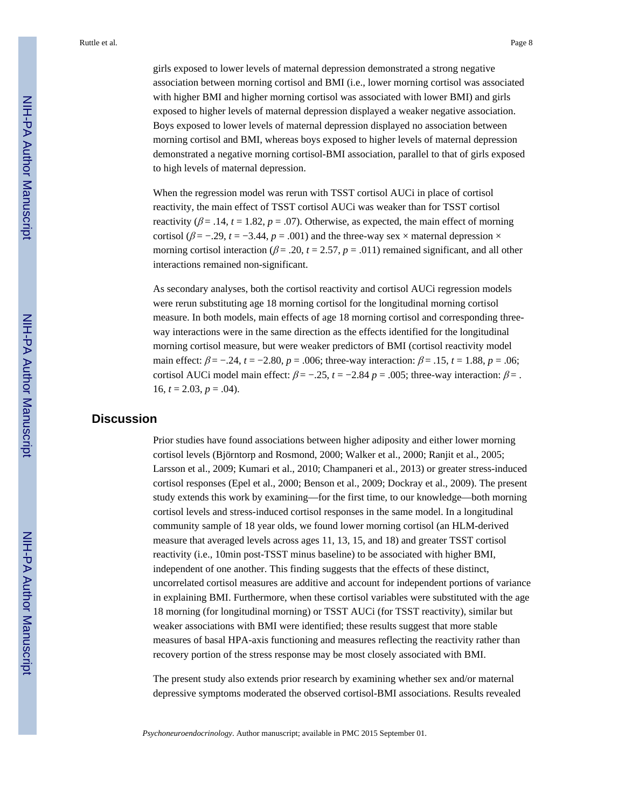girls exposed to lower levels of maternal depression demonstrated a strong negative association between morning cortisol and BMI (i.e., lower morning cortisol was associated with higher BMI and higher morning cortisol was associated with lower BMI) and girls exposed to higher levels of maternal depression displayed a weaker negative association. Boys exposed to lower levels of maternal depression displayed no association between morning cortisol and BMI, whereas boys exposed to higher levels of maternal depression demonstrated a negative morning cortisol-BMI association, parallel to that of girls exposed to high levels of maternal depression.

When the regression model was rerun with TSST cortisol AUCi in place of cortisol reactivity, the main effect of TSST cortisol AUCi was weaker than for TSST cortisol reactivity ( $\beta$  = .14,  $t$  = 1.82,  $p$  = .07). Otherwise, as expected, the main effect of morning cortisol ( $\beta$  = −.29, *t* = −3.44, *p* = .001) and the three-way sex × maternal depression × morning cortisol interaction ( $\beta$  = .20,  $t$  = 2.57,  $p$  = .011) remained significant, and all other interactions remained non-significant.

As secondary analyses, both the cortisol reactivity and cortisol AUCi regression models were rerun substituting age 18 morning cortisol for the longitudinal morning cortisol measure. In both models, main effects of age 18 morning cortisol and corresponding threeway interactions were in the same direction as the effects identified for the longitudinal morning cortisol measure, but were weaker predictors of BMI (cortisol reactivity model main effect:  $\beta = -0.24$ ,  $t = -2.80$ ,  $p = 0.006$ ; three-way interaction:  $\beta = 0.15$ ,  $t = 1.88$ ,  $p = 0.06$ ; cortisol AUCi model main effect:  $\beta = -.25$ ,  $t = -2.84$   $p = .005$ ; three-way interaction:  $\beta = .$ 16,  $t = 2.03$ ,  $p = .04$ ).

# **Discussion**

Prior studies have found associations between higher adiposity and either lower morning cortisol levels (Björntorp and Rosmond, 2000; Walker et al., 2000; Ranjit et al., 2005; Larsson et al., 2009; Kumari et al., 2010; Champaneri et al., 2013) or greater stress-induced cortisol responses (Epel et al., 2000; Benson et al., 2009; Dockray et al., 2009). The present study extends this work by examining—for the first time, to our knowledge—both morning cortisol levels and stress-induced cortisol responses in the same model. In a longitudinal community sample of 18 year olds, we found lower morning cortisol (an HLM-derived measure that averaged levels across ages 11, 13, 15, and 18) and greater TSST cortisol reactivity (i.e., 10min post-TSST minus baseline) to be associated with higher BMI, independent of one another. This finding suggests that the effects of these distinct, uncorrelated cortisol measures are additive and account for independent portions of variance in explaining BMI. Furthermore, when these cortisol variables were substituted with the age 18 morning (for longitudinal morning) or TSST AUCi (for TSST reactivity), similar but weaker associations with BMI were identified; these results suggest that more stable measures of basal HPA-axis functioning and measures reflecting the reactivity rather than recovery portion of the stress response may be most closely associated with BMI.

The present study also extends prior research by examining whether sex and/or maternal depressive symptoms moderated the observed cortisol-BMI associations. Results revealed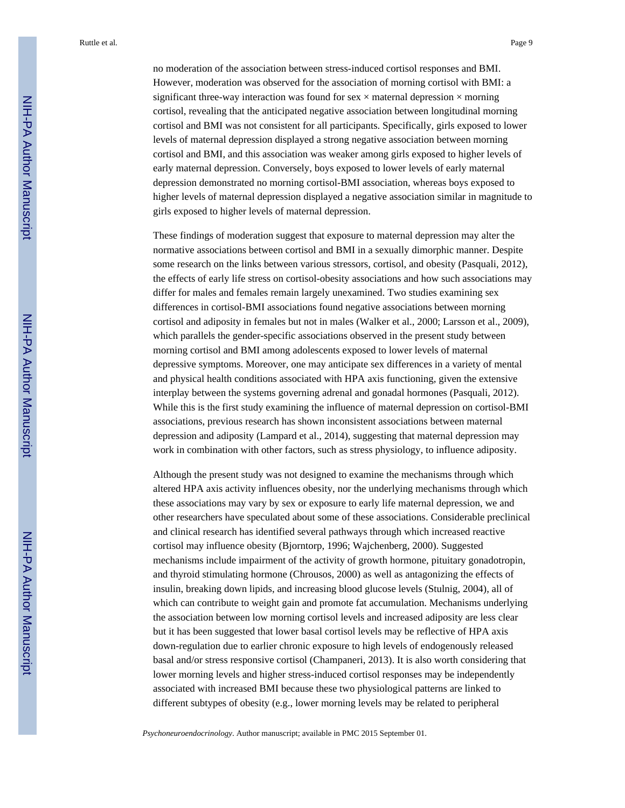no moderation of the association between stress-induced cortisol responses and BMI. However, moderation was observed for the association of morning cortisol with BMI: a significant three-way interaction was found for sex  $\times$  maternal depression  $\times$  morning cortisol, revealing that the anticipated negative association between longitudinal morning cortisol and BMI was not consistent for all participants. Specifically, girls exposed to lower levels of maternal depression displayed a strong negative association between morning cortisol and BMI, and this association was weaker among girls exposed to higher levels of early maternal depression. Conversely, boys exposed to lower levels of early maternal depression demonstrated no morning cortisol-BMI association, whereas boys exposed to higher levels of maternal depression displayed a negative association similar in magnitude to girls exposed to higher levels of maternal depression.

These findings of moderation suggest that exposure to maternal depression may alter the normative associations between cortisol and BMI in a sexually dimorphic manner. Despite some research on the links between various stressors, cortisol, and obesity (Pasquali, 2012), the effects of early life stress on cortisol-obesity associations and how such associations may differ for males and females remain largely unexamined. Two studies examining sex differences in cortisol-BMI associations found negative associations between morning cortisol and adiposity in females but not in males (Walker et al., 2000; Larsson et al., 2009), which parallels the gender-specific associations observed in the present study between morning cortisol and BMI among adolescents exposed to lower levels of maternal depressive symptoms. Moreover, one may anticipate sex differences in a variety of mental and physical health conditions associated with HPA axis functioning, given the extensive interplay between the systems governing adrenal and gonadal hormones (Pasquali, 2012). While this is the first study examining the influence of maternal depression on cortisol-BMI associations, previous research has shown inconsistent associations between maternal depression and adiposity (Lampard et al., 2014), suggesting that maternal depression may work in combination with other factors, such as stress physiology, to influence adiposity.

Although the present study was not designed to examine the mechanisms through which altered HPA axis activity influences obesity, nor the underlying mechanisms through which these associations may vary by sex or exposure to early life maternal depression, we and other researchers have speculated about some of these associations. Considerable preclinical and clinical research has identified several pathways through which increased reactive cortisol may influence obesity (Bjorntorp, 1996; Wajchenberg, 2000). Suggested mechanisms include impairment of the activity of growth hormone, pituitary gonadotropin, and thyroid stimulating hormone (Chrousos, 2000) as well as antagonizing the effects of insulin, breaking down lipids, and increasing blood glucose levels (Stulnig, 2004), all of which can contribute to weight gain and promote fat accumulation. Mechanisms underlying the association between low morning cortisol levels and increased adiposity are less clear but it has been suggested that lower basal cortisol levels may be reflective of HPA axis down-regulation due to earlier chronic exposure to high levels of endogenously released basal and/or stress responsive cortisol (Champaneri, 2013). It is also worth considering that lower morning levels and higher stress-induced cortisol responses may be independently associated with increased BMI because these two physiological patterns are linked to different subtypes of obesity (e.g., lower morning levels may be related to peripheral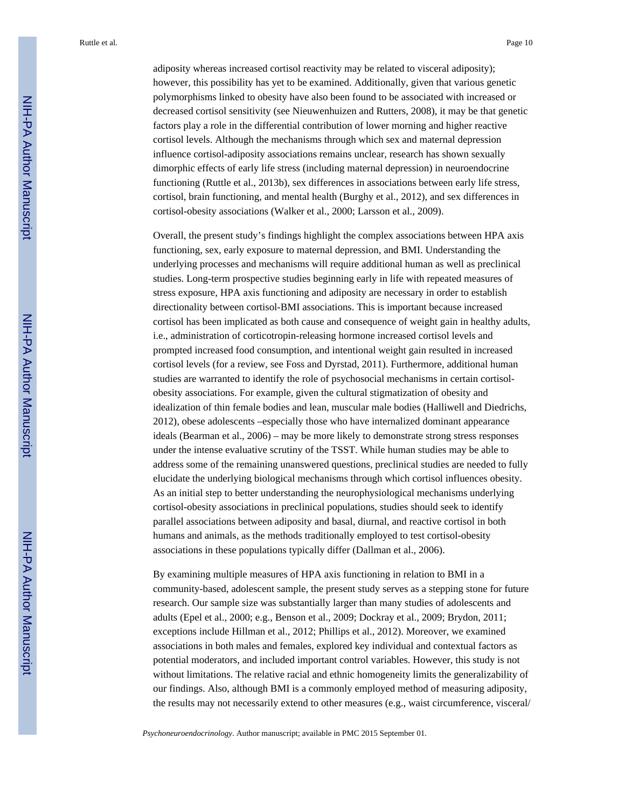adiposity whereas increased cortisol reactivity may be related to visceral adiposity); however, this possibility has yet to be examined. Additionally, given that various genetic polymorphisms linked to obesity have also been found to be associated with increased or decreased cortisol sensitivity (see Nieuwenhuizen and Rutters, 2008), it may be that genetic factors play a role in the differential contribution of lower morning and higher reactive cortisol levels. Although the mechanisms through which sex and maternal depression influence cortisol-adiposity associations remains unclear, research has shown sexually dimorphic effects of early life stress (including maternal depression) in neuroendocrine functioning (Ruttle et al., 2013b), sex differences in associations between early life stress, cortisol, brain functioning, and mental health (Burghy et al., 2012), and sex differences in cortisol-obesity associations (Walker et al., 2000; Larsson et al., 2009).

Overall, the present study's findings highlight the complex associations between HPA axis functioning, sex, early exposure to maternal depression, and BMI. Understanding the underlying processes and mechanisms will require additional human as well as preclinical studies. Long-term prospective studies beginning early in life with repeated measures of stress exposure, HPA axis functioning and adiposity are necessary in order to establish directionality between cortisol-BMI associations. This is important because increased cortisol has been implicated as both cause and consequence of weight gain in healthy adults, i.e., administration of corticotropin-releasing hormone increased cortisol levels and prompted increased food consumption, and intentional weight gain resulted in increased cortisol levels (for a review, see Foss and Dyrstad, 2011). Furthermore, additional human studies are warranted to identify the role of psychosocial mechanisms in certain cortisolobesity associations. For example, given the cultural stigmatization of obesity and idealization of thin female bodies and lean, muscular male bodies (Halliwell and Diedrichs, 2012), obese adolescents –especially those who have internalized dominant appearance ideals (Bearman et al., 2006) – may be more likely to demonstrate strong stress responses under the intense evaluative scrutiny of the TSST. While human studies may be able to address some of the remaining unanswered questions, preclinical studies are needed to fully elucidate the underlying biological mechanisms through which cortisol influences obesity. As an initial step to better understanding the neurophysiological mechanisms underlying cortisol-obesity associations in preclinical populations, studies should seek to identify parallel associations between adiposity and basal, diurnal, and reactive cortisol in both humans and animals, as the methods traditionally employed to test cortisol-obesity associations in these populations typically differ (Dallman et al., 2006).

By examining multiple measures of HPA axis functioning in relation to BMI in a community-based, adolescent sample, the present study serves as a stepping stone for future research. Our sample size was substantially larger than many studies of adolescents and adults (Epel et al., 2000; e.g., Benson et al., 2009; Dockray et al., 2009; Brydon, 2011; exceptions include Hillman et al., 2012; Phillips et al., 2012). Moreover, we examined associations in both males and females, explored key individual and contextual factors as potential moderators, and included important control variables. However, this study is not without limitations. The relative racial and ethnic homogeneity limits the generalizability of our findings. Also, although BMI is a commonly employed method of measuring adiposity, the results may not necessarily extend to other measures (e.g., waist circumference, visceral/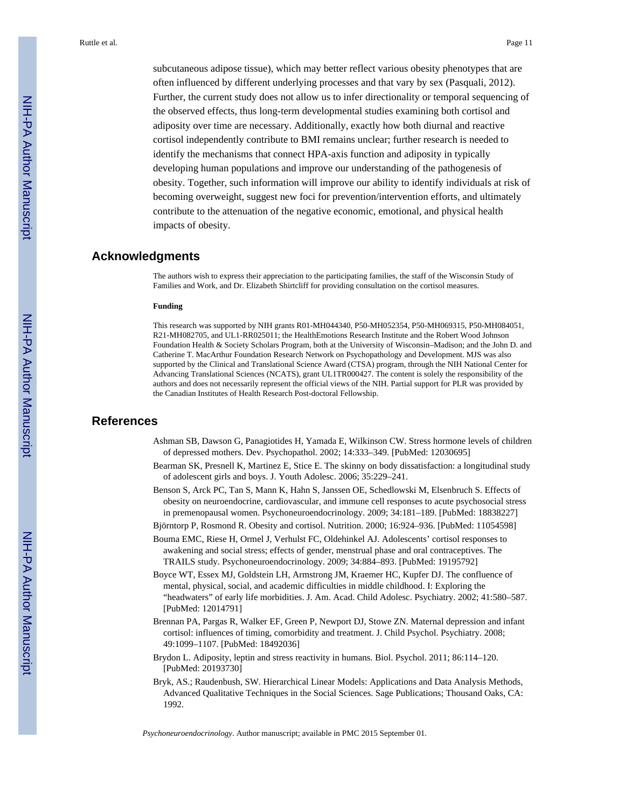subcutaneous adipose tissue), which may better reflect various obesity phenotypes that are often influenced by different underlying processes and that vary by sex (Pasquali, 2012). Further, the current study does not allow us to infer directionality or temporal sequencing of the observed effects, thus long-term developmental studies examining both cortisol and adiposity over time are necessary. Additionally, exactly how both diurnal and reactive cortisol independently contribute to BMI remains unclear; further research is needed to identify the mechanisms that connect HPA-axis function and adiposity in typically developing human populations and improve our understanding of the pathogenesis of obesity. Together, such information will improve our ability to identify individuals at risk of becoming overweight, suggest new foci for prevention/intervention efforts, and ultimately contribute to the attenuation of the negative economic, emotional, and physical health impacts of obesity.

# **Acknowledgments**

The authors wish to express their appreciation to the participating families, the staff of the Wisconsin Study of Families and Work, and Dr. Elizabeth Shirtcliff for providing consultation on the cortisol measures.

#### **Funding**

This research was supported by NIH grants R01-MH044340, P50-MH052354, P50-MH069315, P50-MH084051, R21-MH082705, and UL1-RR025011; the HealthEmotions Research Institute and the Robert Wood Johnson Foundation Health & Society Scholars Program, both at the University of Wisconsin–Madison; and the John D. and Catherine T. MacArthur Foundation Research Network on Psychopathology and Development. MJS was also supported by the Clinical and Translational Science Award (CTSA) program, through the NIH National Center for Advancing Translational Sciences (NCATS), grant UL1TR000427. The content is solely the responsibility of the authors and does not necessarily represent the official views of the NIH. Partial support for PLR was provided by the Canadian Institutes of Health Research Post-doctoral Fellowship.

# **References**

- Ashman SB, Dawson G, Panagiotides H, Yamada E, Wilkinson CW. Stress hormone levels of children of depressed mothers. Dev. Psychopathol. 2002; 14:333–349. [PubMed: 12030695]
- Bearman SK, Presnell K, Martinez E, Stice E. The skinny on body dissatisfaction: a longitudinal study of adolescent girls and boys. J. Youth Adolesc. 2006; 35:229–241.
- Benson S, Arck PC, Tan S, Mann K, Hahn S, Janssen OE, Schedlowski M, Elsenbruch S. Effects of obesity on neuroendocrine, cardiovascular, and immune cell responses to acute psychosocial stress in premenopausal women. Psychoneuroendocrinology. 2009; 34:181–189. [PubMed: 18838227]
- Björntorp P, Rosmond R. Obesity and cortisol. Nutrition. 2000; 16:924–936. [PubMed: 11054598]
- Bouma EMC, Riese H, Ormel J, Verhulst FC, Oldehinkel AJ. Adolescents' cortisol responses to awakening and social stress; effects of gender, menstrual phase and oral contraceptives. The TRAILS study. Psychoneuroendocrinology. 2009; 34:884–893. [PubMed: 19195792]
- Boyce WT, Essex MJ, Goldstein LH, Armstrong JM, Kraemer HC, Kupfer DJ. The confluence of mental, physical, social, and academic difficulties in middle childhood. I: Exploring the "headwaters" of early life morbidities. J. Am. Acad. Child Adolesc. Psychiatry. 2002; 41:580–587. [PubMed: 12014791]
- Brennan PA, Pargas R, Walker EF, Green P, Newport DJ, Stowe ZN. Maternal depression and infant cortisol: influences of timing, comorbidity and treatment. J. Child Psychol. Psychiatry. 2008; 49:1099–1107. [PubMed: 18492036]
- Brydon L. Adiposity, leptin and stress reactivity in humans. Biol. Psychol. 2011; 86:114–120. [PubMed: 20193730]
- Bryk, AS.; Raudenbush, SW. Hierarchical Linear Models: Applications and Data Analysis Methods, Advanced Qualitative Techniques in the Social Sciences. Sage Publications; Thousand Oaks, CA: 1992.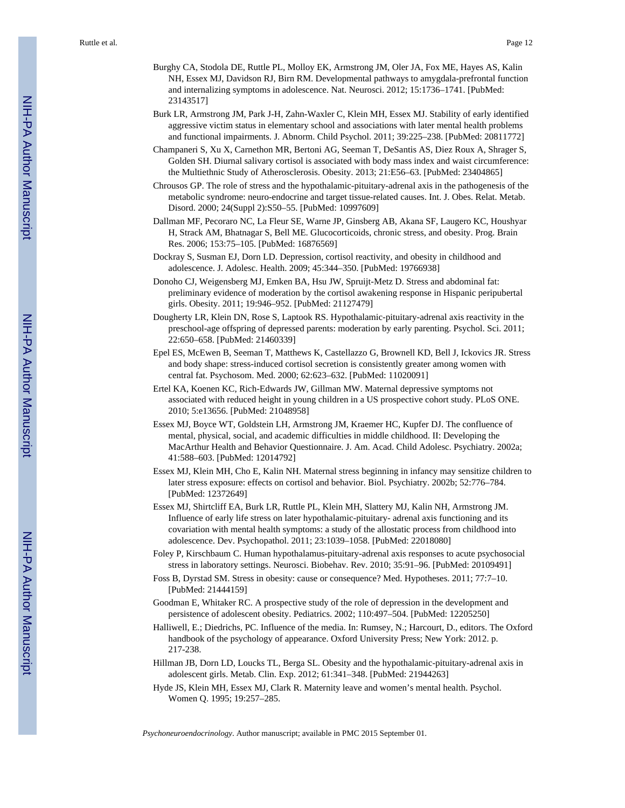- Burghy CA, Stodola DE, Ruttle PL, Molloy EK, Armstrong JM, Oler JA, Fox ME, Hayes AS, Kalin NH, Essex MJ, Davidson RJ, Birn RM. Developmental pathways to amygdala-prefrontal function and internalizing symptoms in adolescence. Nat. Neurosci. 2012; 15:1736–1741. [PubMed: 23143517]
- Burk LR, Armstrong JM, Park J-H, Zahn-Waxler C, Klein MH, Essex MJ. Stability of early identified aggressive victim status in elementary school and associations with later mental health problems and functional impairments. J. Abnorm. Child Psychol. 2011; 39:225–238. [PubMed: 20811772]
- Champaneri S, Xu X, Carnethon MR, Bertoni AG, Seeman T, DeSantis AS, Diez Roux A, Shrager S, Golden SH. Diurnal salivary cortisol is associated with body mass index and waist circumference: the Multiethnic Study of Atherosclerosis. Obesity. 2013; 21:E56–63. [PubMed: 23404865]
- Chrousos GP. The role of stress and the hypothalamic-pituitary-adrenal axis in the pathogenesis of the metabolic syndrome: neuro-endocrine and target tissue-related causes. Int. J. Obes. Relat. Metab. Disord. 2000; 24(Suppl 2):S50–55. [PubMed: 10997609]
- Dallman MF, Pecoraro NC, La Fleur SE, Warne JP, Ginsberg AB, Akana SF, Laugero KC, Houshyar H, Strack AM, Bhatnagar S, Bell ME. Glucocorticoids, chronic stress, and obesity. Prog. Brain Res. 2006; 153:75–105. [PubMed: 16876569]
- Dockray S, Susman EJ, Dorn LD. Depression, cortisol reactivity, and obesity in childhood and adolescence. J. Adolesc. Health. 2009; 45:344–350. [PubMed: 19766938]
- Donoho CJ, Weigensberg MJ, Emken BA, Hsu JW, Spruijt-Metz D. Stress and abdominal fat: preliminary evidence of moderation by the cortisol awakening response in Hispanic peripubertal girls. Obesity. 2011; 19:946–952. [PubMed: 21127479]
- Dougherty LR, Klein DN, Rose S, Laptook RS. Hypothalamic-pituitary-adrenal axis reactivity in the preschool-age offspring of depressed parents: moderation by early parenting. Psychol. Sci. 2011; 22:650–658. [PubMed: 21460339]
- Epel ES, McEwen B, Seeman T, Matthews K, Castellazzo G, Brownell KD, Bell J, Ickovics JR. Stress and body shape: stress-induced cortisol secretion is consistently greater among women with central fat. Psychosom. Med. 2000; 62:623–632. [PubMed: 11020091]
- Ertel KA, Koenen KC, Rich-Edwards JW, Gillman MW. Maternal depressive symptoms not associated with reduced height in young children in a US prospective cohort study. PLoS ONE. 2010; 5:e13656. [PubMed: 21048958]
- Essex MJ, Boyce WT, Goldstein LH, Armstrong JM, Kraemer HC, Kupfer DJ. The confluence of mental, physical, social, and academic difficulties in middle childhood. II: Developing the MacArthur Health and Behavior Questionnaire. J. Am. Acad. Child Adolesc. Psychiatry. 2002a; 41:588–603. [PubMed: 12014792]
- Essex MJ, Klein MH, Cho E, Kalin NH. Maternal stress beginning in infancy may sensitize children to later stress exposure: effects on cortisol and behavior. Biol. Psychiatry. 2002b; 52:776–784. [PubMed: 12372649]
- Essex MJ, Shirtcliff EA, Burk LR, Ruttle PL, Klein MH, Slattery MJ, Kalin NH, Armstrong JM. Influence of early life stress on later hypothalamic-pituitary- adrenal axis functioning and its covariation with mental health symptoms: a study of the allostatic process from childhood into adolescence. Dev. Psychopathol. 2011; 23:1039–1058. [PubMed: 22018080]
- Foley P, Kirschbaum C. Human hypothalamus-pituitary-adrenal axis responses to acute psychosocial stress in laboratory settings. Neurosci. Biobehav. Rev. 2010; 35:91–96. [PubMed: 20109491]
- Foss B, Dyrstad SM. Stress in obesity: cause or consequence? Med. Hypotheses. 2011; 77:7–10. [PubMed: 21444159]
- Goodman E, Whitaker RC. A prospective study of the role of depression in the development and persistence of adolescent obesity. Pediatrics. 2002; 110:497–504. [PubMed: 12205250]
- Halliwell, E.; Diedrichs, PC. Influence of the media. In: Rumsey, N.; Harcourt, D., editors. The Oxford handbook of the psychology of appearance. Oxford University Press; New York: 2012. p. 217-238.
- Hillman JB, Dorn LD, Loucks TL, Berga SL. Obesity and the hypothalamic-pituitary-adrenal axis in adolescent girls. Metab. Clin. Exp. 2012; 61:341–348. [PubMed: 21944263]
- Hyde JS, Klein MH, Essex MJ, Clark R. Maternity leave and women's mental health. Psychol. Women Q. 1995; 19:257–285.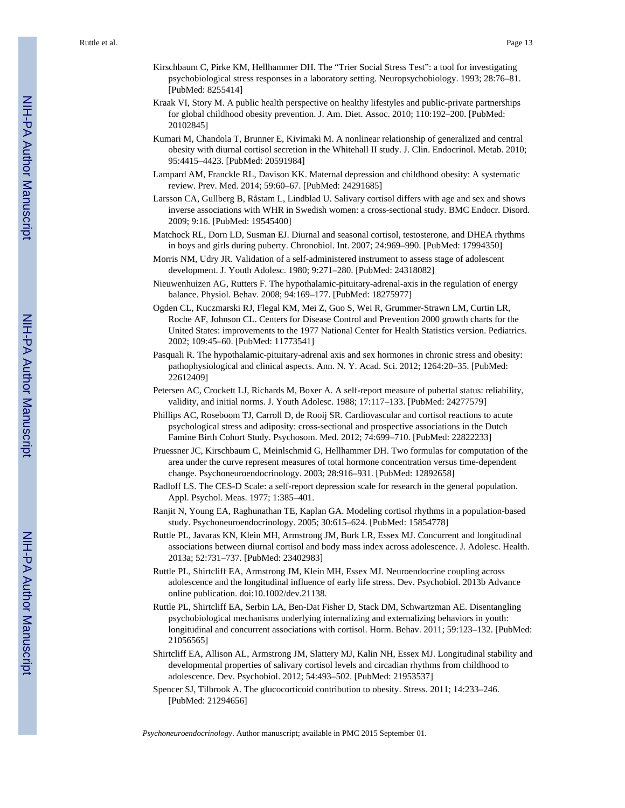- Kirschbaum C, Pirke KM, Hellhammer DH. The "Trier Social Stress Test": a tool for investigating psychobiological stress responses in a laboratory setting. Neuropsychobiology. 1993; 28:76–81. [PubMed: 8255414]
- Kraak VI, Story M. A public health perspective on healthy lifestyles and public-private partnerships for global childhood obesity prevention. J. Am. Diet. Assoc. 2010; 110:192–200. [PubMed: 20102845]
- Kumari M, Chandola T, Brunner E, Kivimaki M. A nonlinear relationship of generalized and central obesity with diurnal cortisol secretion in the Whitehall II study. J. Clin. Endocrinol. Metab. 2010; 95:4415–4423. [PubMed: 20591984]
- Lampard AM, Franckle RL, Davison KK. Maternal depression and childhood obesity: A systematic review. Prev. Med. 2014; 59:60–67. [PubMed: 24291685]
- Larsson CA, Gullberg B, Råstam L, Lindblad U. Salivary cortisol differs with age and sex and shows inverse associations with WHR in Swedish women: a cross-sectional study. BMC Endocr. Disord. 2009; 9:16. [PubMed: 19545400]
- Matchock RL, Dorn LD, Susman EJ. Diurnal and seasonal cortisol, testosterone, and DHEA rhythms in boys and girls during puberty. Chronobiol. Int. 2007; 24:969–990. [PubMed: 17994350]
- Morris NM, Udry JR. Validation of a self-administered instrument to assess stage of adolescent development. J. Youth Adolesc. 1980; 9:271–280. [PubMed: 24318082]
- Nieuwenhuizen AG, Rutters F. The hypothalamic-pituitary-adrenal-axis in the regulation of energy balance. Physiol. Behav. 2008; 94:169–177. [PubMed: 18275977]
- Ogden CL, Kuczmarski RJ, Flegal KM, Mei Z, Guo S, Wei R, Grummer-Strawn LM, Curtin LR, Roche AF, Johnson CL. Centers for Disease Control and Prevention 2000 growth charts for the United States: improvements to the 1977 National Center for Health Statistics version. Pediatrics. 2002; 109:45–60. [PubMed: 11773541]
- Pasquali R. The hypothalamic-pituitary-adrenal axis and sex hormones in chronic stress and obesity: pathophysiological and clinical aspects. Ann. N. Y. Acad. Sci. 2012; 1264:20–35. [PubMed: 22612409]
- Petersen AC, Crockett LJ, Richards M, Boxer A. A self-report measure of pubertal status: reliability, validity, and initial norms. J. Youth Adolesc. 1988; 17:117–133. [PubMed: 24277579]
- Phillips AC, Roseboom TJ, Carroll D, de Rooij SR. Cardiovascular and cortisol reactions to acute psychological stress and adiposity: cross-sectional and prospective associations in the Dutch Famine Birth Cohort Study. Psychosom. Med. 2012; 74:699–710. [PubMed: 22822233]
- Pruessner JC, Kirschbaum C, Meinlschmid G, Hellhammer DH. Two formulas for computation of the area under the curve represent measures of total hormone concentration versus time-dependent change. Psychoneuroendocrinology. 2003; 28:916–931. [PubMed: 12892658]
- Radloff LS. The CES-D Scale: a self-report depression scale for research in the general population. Appl. Psychol. Meas. 1977; 1:385–401.
- Ranjit N, Young EA, Raghunathan TE, Kaplan GA. Modeling cortisol rhythms in a population-based study. Psychoneuroendocrinology. 2005; 30:615–624. [PubMed: 15854778]
- Ruttle PL, Javaras KN, Klein MH, Armstrong JM, Burk LR, Essex MJ. Concurrent and longitudinal associations between diurnal cortisol and body mass index across adolescence. J. Adolesc. Health. 2013a; 52:731–737. [PubMed: 23402983]
- Ruttle PL, Shirtcliff EA, Armstrong JM, Klein MH, Essex MJ. Neuroendocrine coupling across adolescence and the longitudinal influence of early life stress. Dev. Psychobiol. 2013b Advance online publication. doi:10.1002/dev.21138.
- Ruttle PL, Shirtcliff EA, Serbin LA, Ben-Dat Fisher D, Stack DM, Schwartzman AE. Disentangling psychobiological mechanisms underlying internalizing and externalizing behaviors in youth: longitudinal and concurrent associations with cortisol. Horm. Behav. 2011; 59:123–132. [PubMed: 21056565]
- Shirtcliff EA, Allison AL, Armstrong JM, Slattery MJ, Kalin NH, Essex MJ. Longitudinal stability and developmental properties of salivary cortisol levels and circadian rhythms from childhood to adolescence. Dev. Psychobiol. 2012; 54:493–502. [PubMed: 21953537]
- Spencer SJ, Tilbrook A. The glucocorticoid contribution to obesity. Stress. 2011; 14:233–246. [PubMed: 21294656]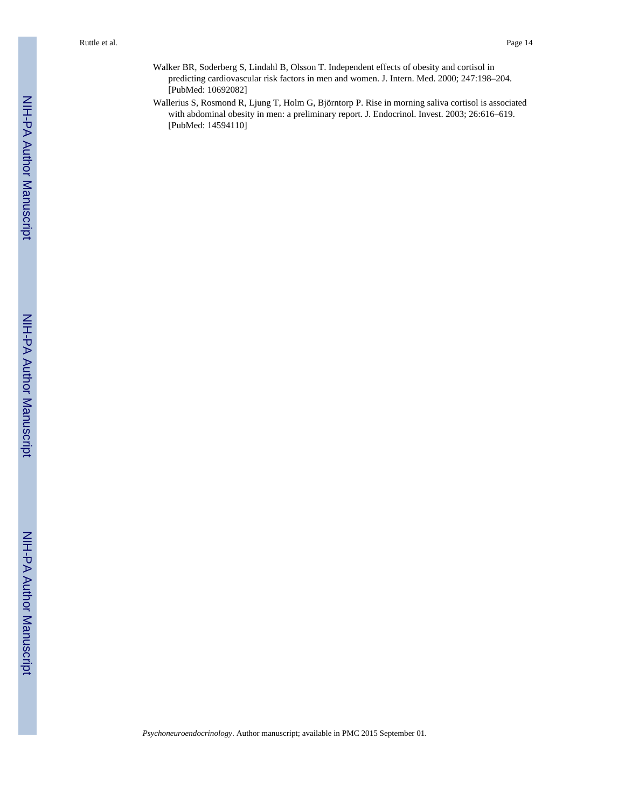Walker BR, Soderberg S, Lindahl B, Olsson T. Independent effects of obesity and cortisol in predicting cardiovascular risk factors in men and women. J. Intern. Med. 2000; 247:198–204. [PubMed: 10692082]

Wallerius S, Rosmond R, Ljung T, Holm G, Björntorp P. Rise in morning saliva cortisol is associated with abdominal obesity in men: a preliminary report. J. Endocrinol. Invest. 2003; 26:616–619. [PubMed: 14594110]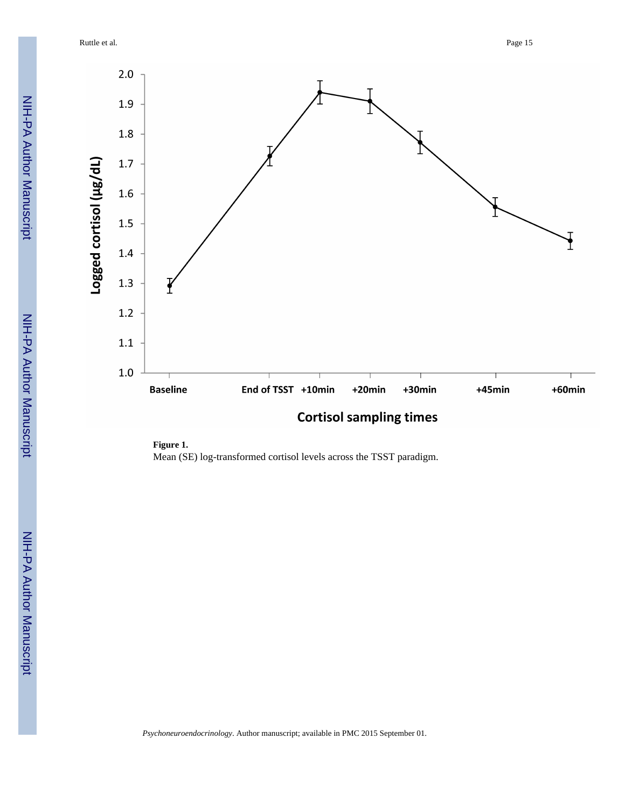Ruttle et al. Page 15



**Figure 1.** Mean (SE) log-transformed cortisol levels across the TSST paradigm.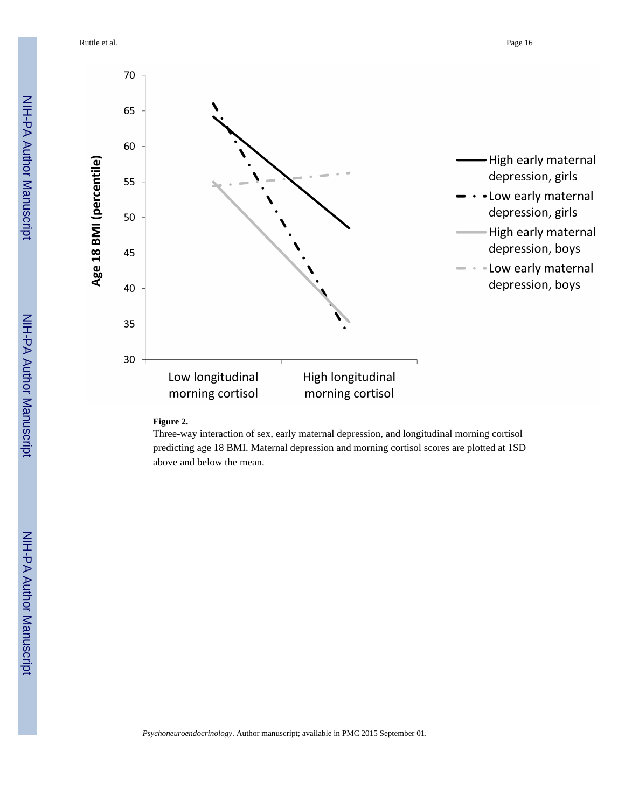Ruttle et al. Page 16



# **Figure 2.**

Three-way interaction of sex, early maternal depression, and longitudinal morning cortisol predicting age 18 BMI. Maternal depression and morning cortisol scores are plotted at 1SD above and below the mean.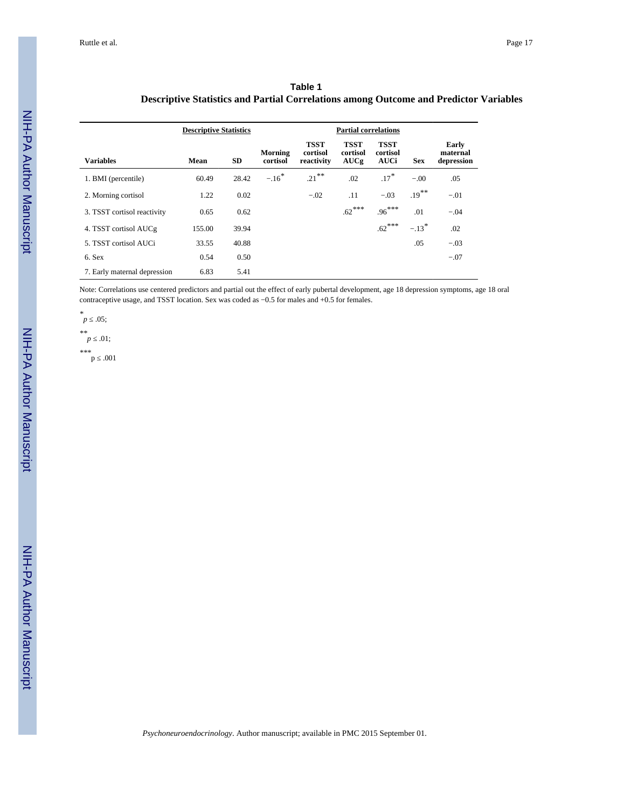|                              | <b>Descriptive Statistics</b> |           |                     |                                       | <b>Partial correlations</b>     |                                        |            |                                 |
|------------------------------|-------------------------------|-----------|---------------------|---------------------------------------|---------------------------------|----------------------------------------|------------|---------------------------------|
| <b>Variables</b>             | Mean                          | <b>SD</b> | Morning<br>cortisol | <b>TSST</b><br>cortisol<br>reactivity | <b>TSST</b><br>cortisol<br>AUCg | <b>TSST</b><br>cortisol<br><b>AUCi</b> | <b>Sex</b> | Early<br>maternal<br>depression |
| 1. BMI (percentile)          | 60.49                         | 28.42     | $-.16*$             | $.21***$                              | .02                             | $.17*$                                 | $-.00$     | .05                             |
| 2. Morning cortisol          | 1.22                          | 0.02      |                     | $-.02$                                | .11                             | $-.03$                                 | $.19***$   | $-.01$                          |
| 3. TSST cortisol reactivity  | 0.65                          | 0.62      |                     |                                       | $.62***$                        | $.96***$                               | .01        | $-.04$                          |
| 4. TSST cortisol AUCg        | 155.00                        | 39.94     |                     |                                       |                                 | $.62***$                               | $-.13*$    | .02                             |
| 5. TSST cortisol AUCi        | 33.55                         | 40.88     |                     |                                       |                                 |                                        | .05        | $-.03$                          |
| 6. Sex                       | 0.54                          | 0.50      |                     |                                       |                                 |                                        |            | $-.07$                          |
| 7. Early maternal depression | 6.83                          | 5.41      |                     |                                       |                                 |                                        |            |                                 |

| Table 1                                                                                      |  |
|----------------------------------------------------------------------------------------------|--|
| <b>Descriptive Statistics and Partial Correlations among Outcome and Predictor Variables</b> |  |

Note: Correlations use centered predictors and partial out the effect of early pubertal development, age 18 depression symptoms, age 18 oral contraceptive usage, and TSST location. Sex was coded as −0.5 for males and +0.5 for females.

*\* p*  $.05$ ;

*\*\**  $.01;$ 

*\*\*\**p ≤ .001

NIH-PA Author Manuscript

NIH-PA Author Manuscript